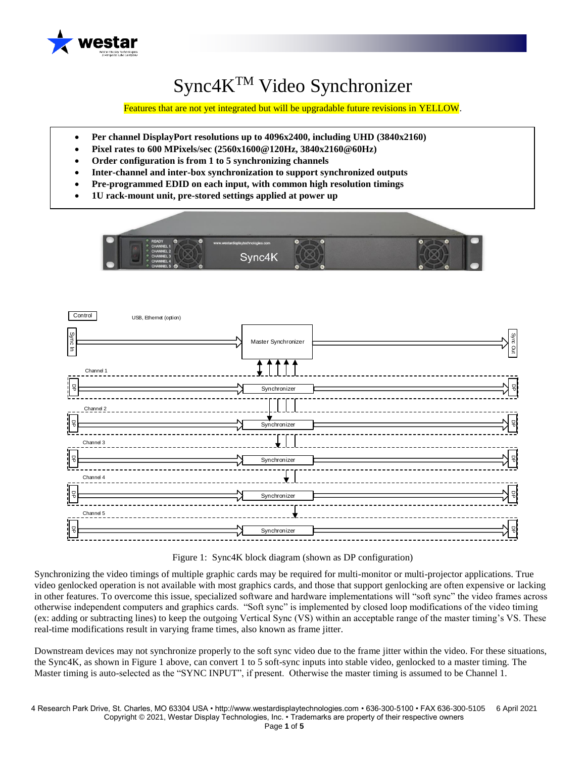

# Sync4KTM Video Synchronizer

Features that are not yet integrated but will be upgradable future revisions in YELLOW.

- **Per channel DisplayPort resolutions up to 4096x2400, including UHD (3840x2160)**
- **Pixel rates to 600 MPixels/sec (2560x1600@120Hz, 3840x2160@60Hz)**
- **Order configuration is from 1 to 5 synchronizing channels**
- **Inter-channel and inter-box synchronization to support synchronized outputs**
- **Pre-programmed EDID on each input, with common high resolution timings**
- **1U rack-mount unit, pre-stored settings applied at power up**





Figure 1: Sync4K block diagram (shown as DP configuration)

Synchronizing the video timings of multiple graphic cards may be required for multi-monitor or multi-projector applications. True video genlocked operation is not available with most graphics cards, and those that support genlocking are often expensive or lacking in other features. To overcome this issue, specialized software and hardware implementations will "soft sync" the video frames across otherwise independent computers and graphics cards. "Soft sync" is implemented by closed loop modifications of the video timing (ex: adding or subtracting lines) to keep the outgoing Vertical Sync (VS) within an acceptable range of the master timing's VS. These real-time modifications result in varying frame times, also known as frame jitter.

Downstream devices may not synchronize properly to the soft sync video due to the frame jitter within the video. For these situations, the Sync4K, as shown in Figure 1 above, can convert 1 to 5 soft-sync inputs into stable video, genlocked to a master timing. The Master timing is auto-selected as the "SYNC INPUT", if present. Otherwise the master timing is assumed to be Channel 1.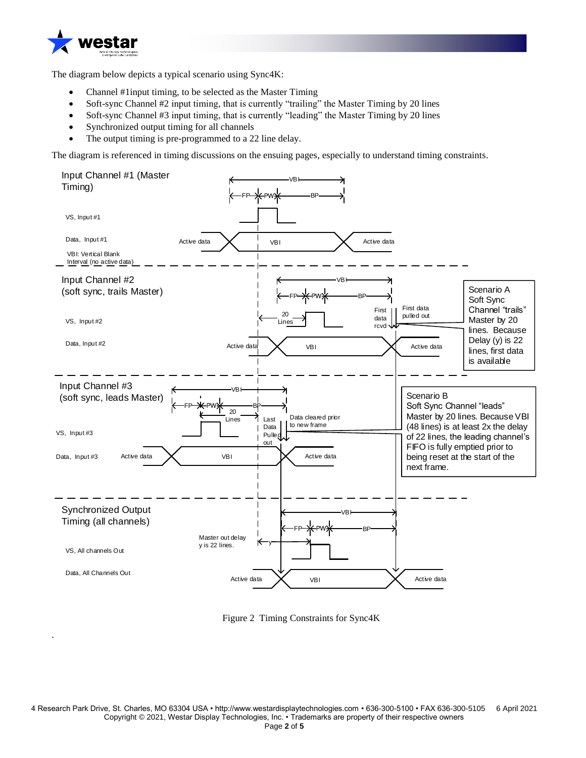

.

The diagram below depicts a typical scenario using Sync4K:

- Channel #1input timing, to be selected as the Master Timing
- Soft-sync Channel #2 input timing, that is currently "trailing" the Master Timing by 20 lines
- Soft-sync Channel #3 input timing, that is currently "leading" the Master Timing by 20 lines
- Synchronized output timing for all channels
- The output timing is pre-programmed to a 22 line delay.

The diagram is referenced in timing discussions on the ensuing pages, especially to understand timing constraints.



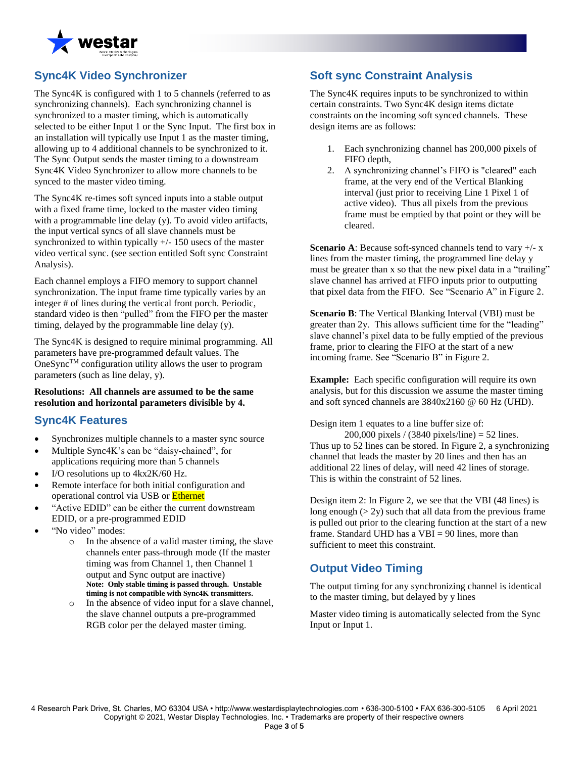

## **Sync4K Video Synchronizer**

The Sync4K is configured with 1 to 5 channels (referred to as synchronizing channels). Each synchronizing channel is synchronized to a master timing, which is automatically selected to be either Input 1 or the Sync Input. The first box in an installation will typically use Input 1 as the master timing, allowing up to 4 additional channels to be synchronized to it. The Sync Output sends the master timing to a downstream Sync4K Video Synchronizer to allow more channels to be synced to the master video timing.

The Sync4K re-times soft synced inputs into a stable output with a fixed frame time, locked to the master video timing with a programmable line delay (y). To avoid video artifacts, the input vertical syncs of all slave channels must be synchronized to within typically  $+/- 150$  usecs of the master video vertical sync. (see section entitled Soft sync Constraint Analysis).

Each channel employs a FIFO memory to support channel synchronization. The input frame time typically varies by an integer # of lines during the vertical front porch. Periodic, standard video is then "pulled" from the FIFO per the master timing, delayed by the programmable line delay (y).

The Sync4K is designed to require minimal programming. All parameters have pre-programmed default values. The  $OneSymc<sup>TM</sup> configuration utility allows the user to program.$ parameters (such as line delay, y).

#### **Resolutions: All channels are assumed to be the same resolution and horizontal parameters divisible by 4.**

#### **Sync4K Features**

- Synchronizes multiple channels to a master sync source
- Multiple Sync4K's can be "daisy-chained", for applications requiring more than 5 channels
- I/O resolutions up to 4kx2K/60 Hz.
- Remote interface for both initial configuration and operational control via USB or Ethernet
- "Active EDID" can be either the current downstream EDID, or a pre-programmed EDID
- "No video" modes:
	- o In the absence of a valid master timing, the slave channels enter pass-through mode (If the master timing was from Channel 1, then Channel 1 output and Sync output are inactive) **Note: Only stable timing is passed through. Unstable timing is not compatible with Sync4K transmitters.**
	- o In the absence of video input for a slave channel, the slave channel outputs a pre-programmed RGB color per the delayed master timing.

#### **Soft sync Constraint Analysis**

The Sync4K requires inputs to be synchronized to within certain constraints. Two Sync4K design items dictate constraints on the incoming soft synced channels. These design items are as follows:

- 1. Each synchronizing channel has 200,000 pixels of FIFO depth,
- 2. A synchronizing channel's FIFO is "cleared" each frame, at the very end of the Vertical Blanking interval (just prior to receiving Line 1 Pixel 1 of active video). Thus all pixels from the previous frame must be emptied by that point or they will be cleared.

**Scenario A:** Because soft-synced channels tend to vary  $+/- x$ lines from the master timing, the programmed line delay y must be greater than x so that the new pixel data in a "trailing" slave channel has arrived at FIFO inputs prior to outputting that pixel data from the FIFO. See "Scenario A" in Figure 2.

**Scenario B**: The Vertical Blanking Interval (VBI) must be greater than 2y. This allows sufficient time for the "leading" slave channel's pixel data to be fully emptied of the previous frame, prior to clearing the FIFO at the start of a new incoming frame. See "Scenario B" in Figure 2.

**Example:** Each specific configuration will require its own analysis, but for this discussion we assume the master timing and soft synced channels are 3840x2160 @ 60 Hz (UHD).

Design item 1 equates to a line buffer size of:

200,000 pixels / (3840 pixels/line) = 52 lines. Thus up to 52 lines can be stored. In Figure 2, a synchronizing channel that leads the master by 20 lines and then has an additional 22 lines of delay, will need 42 lines of storage. This is within the constraint of 52 lines.

Design item 2: In Figure 2, we see that the VBI (48 lines) is long enough  $(2y)$  such that all data from the previous frame is pulled out prior to the clearing function at the start of a new frame. Standard UHD has a  $VBI = 90$  lines, more than sufficient to meet this constraint.

## **Output Video Timing**

The output timing for any synchronizing channel is identical to the master timing, but delayed by y lines

Master video timing is automatically selected from the Sync Input or Input 1.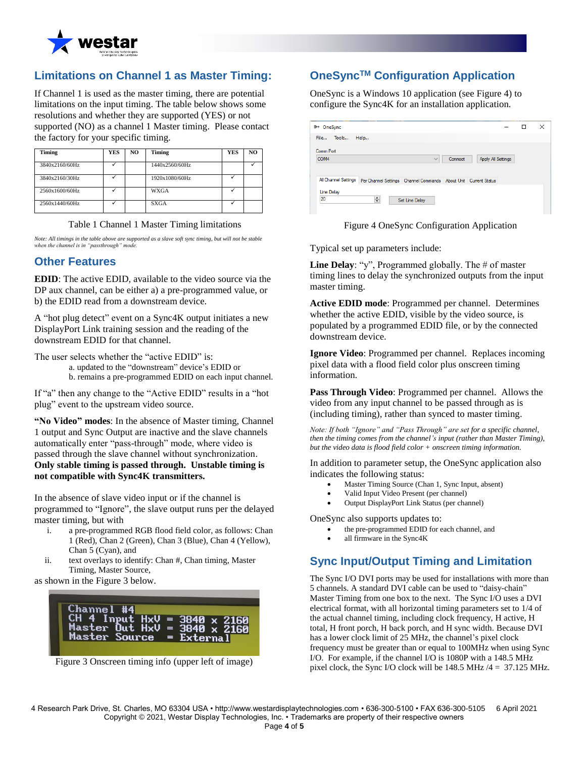

## **Limitations on Channel 1 as Master Timing:**

If Channel 1 is used as the master timing, there are potential limitations on the input timing. The table below shows some resolutions and whether they are supported (YES) or not supported (NO) as a channel 1 Master timing. Please contact the factory for your specific timing.

| Timing         | <b>YES</b> | NO. | Timing         | YES | NO |
|----------------|------------|-----|----------------|-----|----|
| 3840x2160/60Hz |            |     | 1440x2560/60Hz |     |    |
| 3840x2160/30Hz |            |     | 1920x1080/60Hz |     |    |
| 2560x1600/60Hz |            |     | <b>WXGA</b>    |     |    |
| 2560x1440/60Hz |            |     | <b>SXGA</b>    |     |    |

Table 1 Channel 1 Master Timing limitations

*Note: All timings in the table above are supported as a slave soft sync timing, but will not be stable when the channel is in "passthrough" mode.*

#### **Other Features**

**EDID**: The active EDID, available to the video source via the DP aux channel, can be either a) a pre-programmed value, or b) the EDID read from a downstream device.

A "hot plug detect" event on a Sync4K output initiates a new DisplayPort Link training session and the reading of the downstream EDID for that channel.

The user selects whether the "active EDID" is:

a. updated to the "downstream" device's EDID or

b. remains a pre-programmed EDID on each input channel.

If "a" then any change to the "Active EDID" results in a "hot plug" event to the upstream video source.

**"No Video" modes**: In the absence of Master timing, Channel 1 output and Sync Output are inactive and the slave channels automatically enter "pass-through" mode, where video is passed through the slave channel without synchronization. **Only stable timing is passed through. Unstable timing is not compatible with Sync4K transmitters.**

In the absence of slave video input or if the channel is programmed to "Ignore", the slave output runs per the delayed master timing, but with

- i. a pre-programmed RGB flood field color, as follows: Chan 1 (Red), Chan 2 (Green), Chan 3 (Blue), Chan 4 (Yellow), Chan 5 (Cyan), and
- ii. text overlays to identify: Chan #, Chan timing, Master Timing, Master Source,

as shown in the Figure 3 below.

| Channel #4 |  |                                                                            |
|------------|--|----------------------------------------------------------------------------|
|            |  | CH 4 Input $HxU = 3840 \times 2160$<br>Master Out $HxU = 3840 \times 2160$ |
|            |  | Master Source = External                                                   |
|            |  |                                                                            |

Figure 3 Onscreen timing info (upper left of image)

# **OneSyncTM Configuration Application**

OneSync is a Windows 10 application (see Figure 4) to configure the Sync4K for an installation application.

| <sup>■→</sup> OneSync |                                                                                              |                |         |                           | - | □ | × |
|-----------------------|----------------------------------------------------------------------------------------------|----------------|---------|---------------------------|---|---|---|
| File Tools            | Help                                                                                         |                |         |                           |   |   |   |
| Comm Port             |                                                                                              |                |         |                           |   |   |   |
| COM4                  |                                                                                              | $\checkmark$   | Connect | <b>Apply All Settings</b> |   |   |   |
|                       |                                                                                              |                |         |                           |   |   |   |
|                       | All Channel Settings   Per Channel Settings   Channel Commands   About Unit   Current Status |                |         |                           |   |   |   |
|                       |                                                                                              |                |         |                           |   |   |   |
| <b>Line Delay</b>     |                                                                                              |                |         |                           |   |   |   |
| 20                    | ÷                                                                                            | Set Line Delay |         |                           |   |   |   |



Typical set up parameters include:

**Line Delay**: "y", Programmed globally. The # of master timing lines to delay the synchronized outputs from the input master timing.

**Active EDID mode**: Programmed per channel. Determines whether the active EDID, visible by the video source, is populated by a programmed EDID file, or by the connected downstream device.

**Ignore Video**: Programmed per channel. Replaces incoming pixel data with a flood field color plus onscreen timing information.

**Pass Through Video**: Programmed per channel. Allows the video from any input channel to be passed through as is (including timing), rather than synced to master timing.

*Note: If both "Ignore" and "Pass Through" are set for a specific channel, then the timing comes from the channel's input (rather than Master Timing), but the video data is flood field color + onscreen timing information.*

In addition to parameter setup, the OneSync application also indicates the following status:

- Master Timing Source (Chan 1, Sync Input, absent)
- Valid Input Video Present (per channel)
- Output DisplayPort Link Status (per channel)

OneSync also supports updates to:

- the pre-programmed EDID for each channel, and
- all firmware in the Sync4K

## **Sync Input/Output Timing and Limitation**

The Sync I/O DVI ports may be used for installations with more than 5 channels. A standard DVI cable can be used to "daisy-chain" Master Timing from one box to the next. The Sync I/O uses a DVI electrical format, with all horizontal timing parameters set to 1/4 of the actual channel timing, including clock frequency, H active, H total, H front porch, H back porch, and H sync width. Because DVI has a lower clock limit of 25 MHz, the channel's pixel clock frequency must be greater than or equal to 100MHz when using Sync I/O. For example, if the channel I/O is 1080P with a 148.5 MHz pixel clock, the Sync I/O clock will be 148.5 MHz /4 = 37.125 MHz.